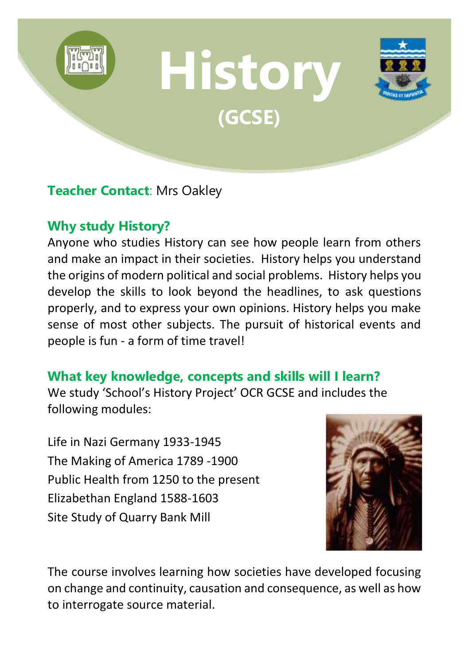

## **Teacher Contact**: Mrs Oakley

# **Why study History?**

Anyone who studies History can see how people learn from others and make an impact in their societies. History helps you understand the origins of modern political and social problems. History helps you develop the skills to look beyond the headlines, to ask questions properly, and to express your own opinions. History helps you make sense of most other subjects. The pursuit of historical events and people is fun - a form of time travel!

#### **What key knowledge, concepts and skills will I learn?**

We study 'School's History Project' OCR GCSE and includes the following modules:

Life in Nazi Germany 1933-1945 The Making of America 1789 -1900 Public Health from 1250 to the present Elizabethan England 1588-1603 Site Study of Quarry Bank Mill



The course involves learning how societies have developed focusing on change and continuity, causation and consequence, as well as how to interrogate source material.